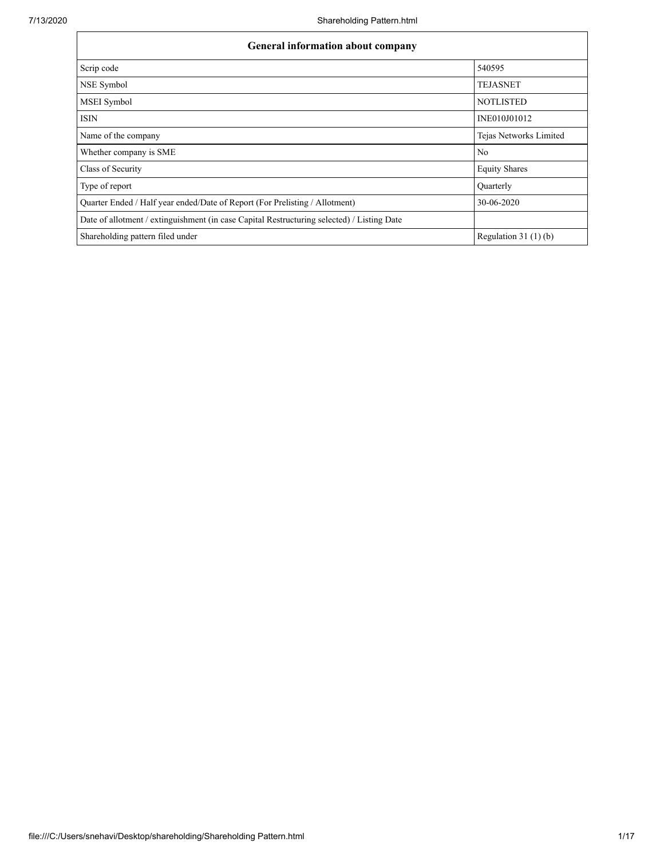| <b>General information about company</b>                                                   |                        |  |  |  |  |  |  |  |
|--------------------------------------------------------------------------------------------|------------------------|--|--|--|--|--|--|--|
| Scrip code                                                                                 | 540595                 |  |  |  |  |  |  |  |
| NSE Symbol                                                                                 | <b>TEJASNET</b>        |  |  |  |  |  |  |  |
| MSEI Symbol                                                                                | <b>NOTLISTED</b>       |  |  |  |  |  |  |  |
| <b>ISIN</b>                                                                                | INE010J01012           |  |  |  |  |  |  |  |
| Name of the company                                                                        | Tejas Networks Limited |  |  |  |  |  |  |  |
| Whether company is SME                                                                     | No                     |  |  |  |  |  |  |  |
| Class of Security                                                                          | <b>Equity Shares</b>   |  |  |  |  |  |  |  |
| Type of report                                                                             | Quarterly              |  |  |  |  |  |  |  |
| Quarter Ended / Half year ended/Date of Report (For Prelisting / Allotment)                | 30-06-2020             |  |  |  |  |  |  |  |
| Date of allotment / extinguishment (in case Capital Restructuring selected) / Listing Date |                        |  |  |  |  |  |  |  |
| Shareholding pattern filed under                                                           | Regulation $31(1)(b)$  |  |  |  |  |  |  |  |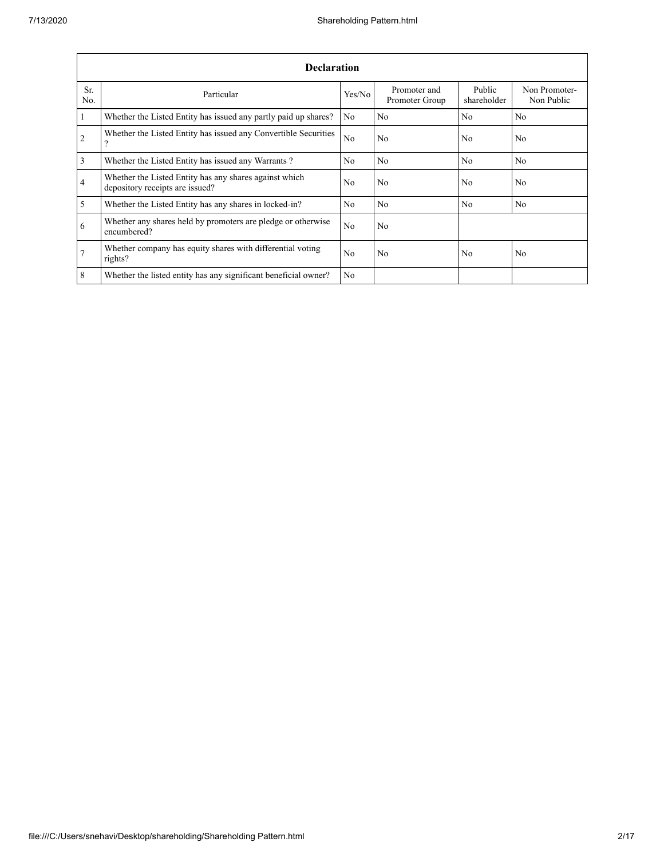|                 | <b>Declaration</b>                                                                        |                |                                |                       |                             |  |  |  |  |  |  |  |  |
|-----------------|-------------------------------------------------------------------------------------------|----------------|--------------------------------|-----------------------|-----------------------------|--|--|--|--|--|--|--|--|
| Sr.<br>No.      | Particular                                                                                | Yes/No         | Promoter and<br>Promoter Group | Public<br>shareholder | Non Promoter-<br>Non Public |  |  |  |  |  |  |  |  |
| $\overline{1}$  | Whether the Listed Entity has issued any partly paid up shares?                           | No             | No                             | No                    | No                          |  |  |  |  |  |  |  |  |
| $\overline{2}$  | Whether the Listed Entity has issued any Convertible Securities<br>2                      | No             | No                             | No                    | No                          |  |  |  |  |  |  |  |  |
| $\overline{3}$  | Whether the Listed Entity has issued any Warrants?                                        | No.            | No                             | N <sub>0</sub>        | N <sub>0</sub>              |  |  |  |  |  |  |  |  |
| $\overline{4}$  | Whether the Listed Entity has any shares against which<br>depository receipts are issued? | No.            | No                             | No.                   | N <sub>0</sub>              |  |  |  |  |  |  |  |  |
| $\overline{5}$  | Whether the Listed Entity has any shares in locked-in?                                    | No.            | No                             | No                    | N <sub>0</sub>              |  |  |  |  |  |  |  |  |
| 6               | Whether any shares held by promoters are pledge or otherwise<br>encumbered?               | N <sub>0</sub> | N <sub>o</sub>                 |                       |                             |  |  |  |  |  |  |  |  |
| $7\phantom{.0}$ | Whether company has equity shares with differential voting<br>rights?                     | No.            | N <sub>0</sub>                 | N <sub>0</sub>        | N <sub>0</sub>              |  |  |  |  |  |  |  |  |
| 8               | Whether the listed entity has any significant beneficial owner?                           | No             |                                |                       |                             |  |  |  |  |  |  |  |  |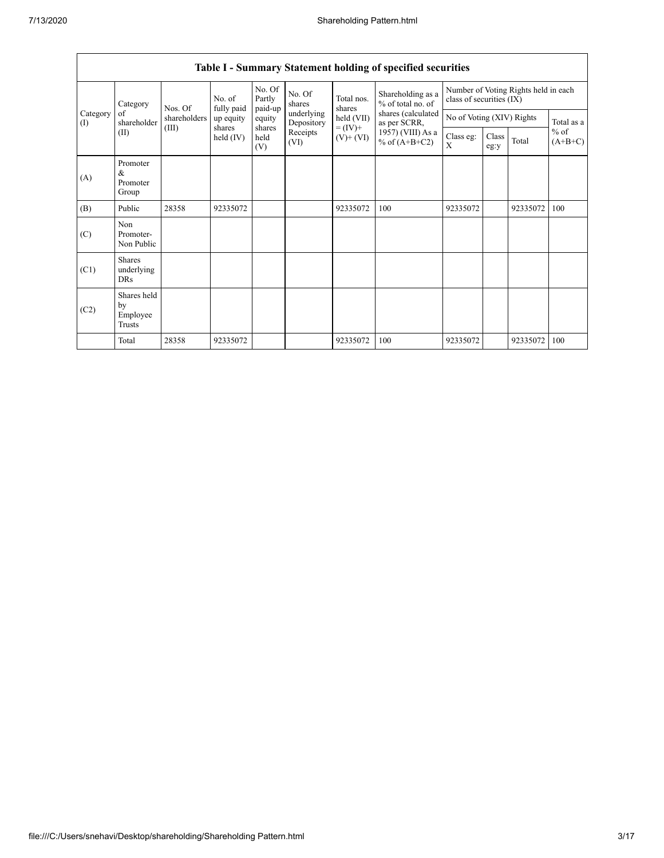| Category        |                                                                                                                                                                                                                           | No. of<br>Nos. Of                    |                | No. Of<br>Partly<br>paid-up | No. Of<br>shares | Total nos.<br>shares | Shareholding as a<br>% of total no. of | Number of Voting Rights held in each<br>class of securities (IX) |  |          |            |
|-----------------|---------------------------------------------------------------------------------------------------------------------------------------------------------------------------------------------------------------------------|--------------------------------------|----------------|-----------------------------|------------------|----------------------|----------------------------------------|------------------------------------------------------------------|--|----------|------------|
| Category<br>(I) | of<br>shareholders<br>held (VII)<br>equity<br>up equity<br>shareholder<br>Depository<br>as per SCRR,<br>shares<br>shares<br>$= (IV) +$<br>(III)<br>Receipts<br>(II)<br>held (IV)<br>held<br>$(V)$ + $(VI)$<br>(VI)<br>(V) | fully paid                           |                |                             | underlying       |                      | shares (calculated                     | No of Voting (XIV) Rights                                        |  |          | Total as a |
|                 |                                                                                                                                                                                                                           | 1957) (VIII) As a<br>% of $(A+B+C2)$ | Class eg:<br>X | Class<br>eg:y               | Total            | $%$ of<br>$(A+B+C)$  |                                        |                                                                  |  |          |            |
| (A)             | Promoter<br>&<br>Promoter<br>Group                                                                                                                                                                                        |                                      |                |                             |                  |                      |                                        |                                                                  |  |          |            |
| (B)             | Public                                                                                                                                                                                                                    | 28358                                | 92335072       |                             |                  | 92335072             | 100                                    | 92335072                                                         |  | 92335072 | 100        |
| (C)             | Non<br>Promoter-<br>Non Public                                                                                                                                                                                            |                                      |                |                             |                  |                      |                                        |                                                                  |  |          |            |
| (C1)            | <b>Shares</b><br>underlying<br>DRs                                                                                                                                                                                        |                                      |                |                             |                  |                      |                                        |                                                                  |  |          |            |
| (C2)            | Shares held<br>by<br>Employee<br>Trusts                                                                                                                                                                                   |                                      |                |                             |                  |                      |                                        |                                                                  |  |          |            |
|                 | Total                                                                                                                                                                                                                     | 28358                                | 92335072       |                             |                  | 92335072             | 100                                    | 92335072                                                         |  | 92335072 | 100        |

## **Table I - Summary Statement holding of specified securities**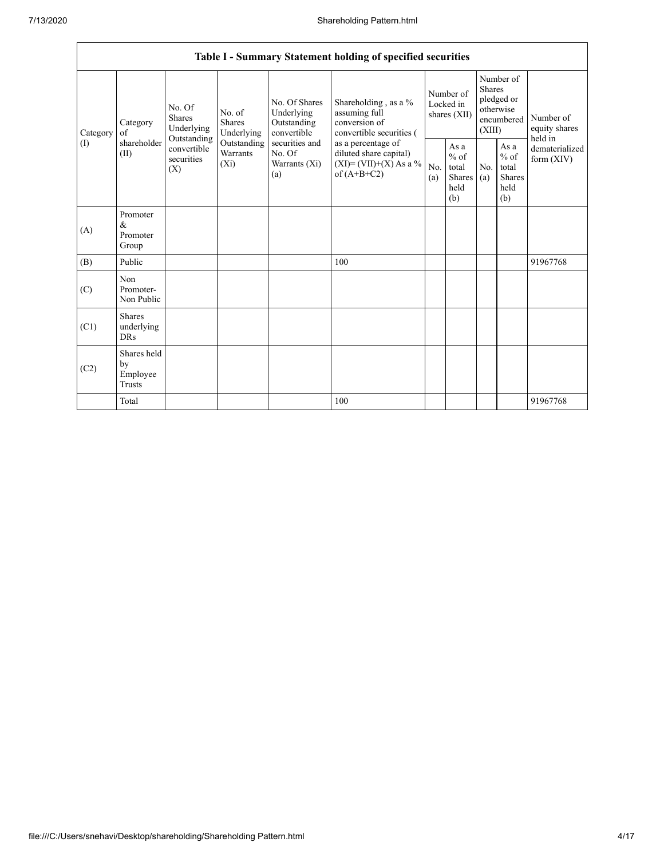|          |                                           |                                                                                                                                                            |                                                                         |                                                           | Table I - Summary Statement holding of specified securities                        |            |                                                         |                                |                                                    |                                       |
|----------|-------------------------------------------|------------------------------------------------------------------------------------------------------------------------------------------------------------|-------------------------------------------------------------------------|-----------------------------------------------------------|------------------------------------------------------------------------------------|------------|---------------------------------------------------------|--------------------------------|----------------------------------------------------|---------------------------------------|
| Category | Category<br>of                            | No. Of<br><b>Shares</b><br>Underlying                                                                                                                      | No. of<br><b>Shares</b><br>Underlying                                   | No. Of Shares<br>Underlying<br>Outstanding<br>convertible | Shareholding, as a %<br>assuming full<br>conversion of<br>convertible securities ( |            | Number of<br>Locked in<br>shares (XII)                  | <b>Shares</b><br>(XIII)        | Number of<br>pledged or<br>otherwise<br>encumbered | Number of<br>equity shares<br>held in |
| (1)      | shareholder<br>(II)                       | Outstanding<br>securities and<br>Outstanding<br>convertible<br>Warrants<br>No. Of<br>securities<br>$(X_i)$<br>Warrants (Xi)<br>(X)<br>of $(A+B+C2)$<br>(a) | as a percentage of<br>diluted share capital)<br>$(XI)=(VII)+(X) As a %$ | No.<br>(a)                                                | As a<br>$%$ of<br>total<br>Shares<br>held<br>(b)                                   | No.<br>(a) | As a<br>$%$ of<br>total<br><b>Shares</b><br>held<br>(b) | dematerialized<br>form $(XIV)$ |                                                    |                                       |
| (A)      | Promoter<br>&<br>Promoter<br>Group        |                                                                                                                                                            |                                                                         |                                                           |                                                                                    |            |                                                         |                                |                                                    |                                       |
| (B)      | Public                                    |                                                                                                                                                            |                                                                         |                                                           | 100                                                                                |            |                                                         |                                |                                                    | 91967768                              |
| (C)      | Non<br>Promoter-<br>Non Public            |                                                                                                                                                            |                                                                         |                                                           |                                                                                    |            |                                                         |                                |                                                    |                                       |
| (C1)     | <b>Shares</b><br>underlying<br><b>DRs</b> |                                                                                                                                                            |                                                                         |                                                           |                                                                                    |            |                                                         |                                |                                                    |                                       |
| (C2)     | Shares held<br>by<br>Employee<br>Trusts   |                                                                                                                                                            |                                                                         |                                                           |                                                                                    |            |                                                         |                                |                                                    |                                       |
|          | Total                                     |                                                                                                                                                            |                                                                         |                                                           | 100                                                                                |            |                                                         |                                |                                                    | 91967768                              |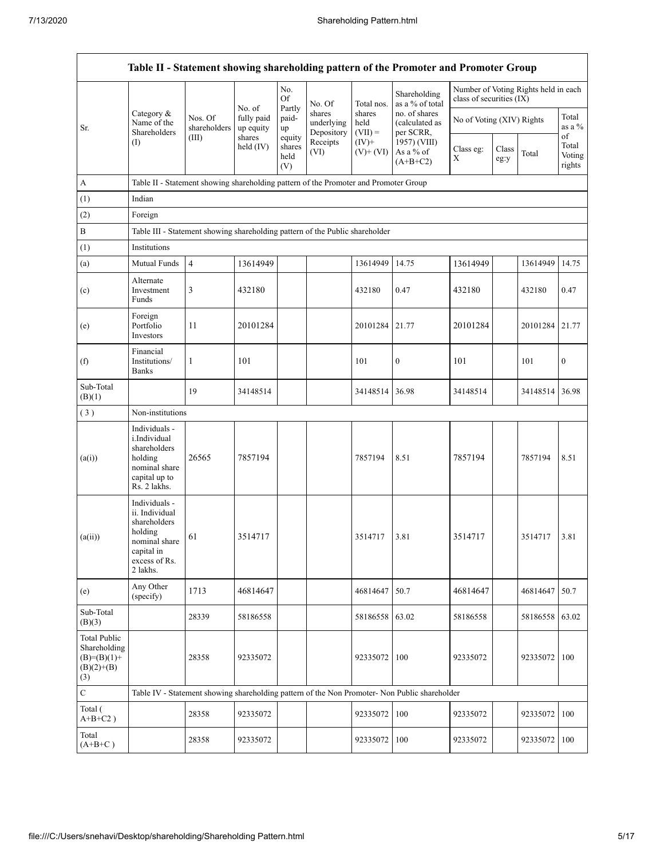|                                                                             |                                                                                                                        |                         |                         |                                 |                                    |                             | Table II - Statement showing shareholding pattern of the Promoter and Promoter Group          |                                                                    |               |          |                                 |
|-----------------------------------------------------------------------------|------------------------------------------------------------------------------------------------------------------------|-------------------------|-------------------------|---------------------------------|------------------------------------|-----------------------------|-----------------------------------------------------------------------------------------------|--------------------------------------------------------------------|---------------|----------|---------------------------------|
|                                                                             |                                                                                                                        |                         | No. of                  | No.<br>Of<br>Partly             | No. Of                             | Total nos.                  | Shareholding<br>as a % of total                                                               | Number of Voting Rights held in each<br>class of securities $(IX)$ |               |          |                                 |
| Sr.                                                                         | Category &<br>Name of the<br>Shareholders                                                                              | Nos. Of<br>shareholders | fully paid<br>up equity | paid-<br>up                     | shares<br>underlying<br>Depository | shares<br>held<br>$(VII) =$ | no. of shares<br>(calculated as<br>per SCRR,                                                  | No of Voting (XIV) Rights                                          |               |          | Total<br>as a %                 |
|                                                                             | (I)                                                                                                                    | (III)                   | shares<br>held $(IV)$   | equity<br>shares<br>held<br>(V) | Receipts<br>(VI)                   | $(IV)+$<br>$(V)$ + $(VI)$   | 1957) (VIII)<br>As a % of<br>$(A+B+C2)$                                                       | Class eg:<br>Χ                                                     | Class<br>eg:y | Total    | of<br>Total<br>Voting<br>rights |
| А                                                                           | Table II - Statement showing shareholding pattern of the Promoter and Promoter Group                                   |                         |                         |                                 |                                    |                             |                                                                                               |                                                                    |               |          |                                 |
| (1)                                                                         | Indian                                                                                                                 |                         |                         |                                 |                                    |                             |                                                                                               |                                                                    |               |          |                                 |
| (2)                                                                         | Foreign                                                                                                                |                         |                         |                                 |                                    |                             |                                                                                               |                                                                    |               |          |                                 |
| B                                                                           | Table III - Statement showing shareholding pattern of the Public shareholder                                           |                         |                         |                                 |                                    |                             |                                                                                               |                                                                    |               |          |                                 |
| (1)                                                                         | Institutions                                                                                                           |                         |                         |                                 |                                    |                             |                                                                                               |                                                                    |               |          |                                 |
| (a)                                                                         | Mutual Funds                                                                                                           | $\overline{4}$          | 13614949                |                                 |                                    | 13614949                    | 14.75                                                                                         | 13614949                                                           |               | 13614949 | 14.75                           |
| (c)                                                                         | Alternate<br>Investment<br>Funds                                                                                       | 3                       | 432180                  |                                 |                                    | 432180                      | 0.47                                                                                          | 432180                                                             |               | 432180   | 0.47                            |
| (e)                                                                         | Foreign<br>Portfolio<br>Investors                                                                                      | 11                      | 20101284                |                                 |                                    | 20101284                    | 21.77                                                                                         | 20101284                                                           |               | 20101284 | 21.77                           |
| (f)                                                                         | Financial<br>Institutions/<br><b>Banks</b>                                                                             | $\mathbf{1}$            | 101                     |                                 |                                    | 101                         | 0                                                                                             | 101                                                                |               | 101      | $\boldsymbol{0}$                |
| Sub-Total<br>(B)(1)                                                         |                                                                                                                        | 19                      | 34148514                |                                 |                                    | 34148514                    | 36.98                                                                                         | 34148514                                                           |               | 34148514 | 36.98                           |
| (3)                                                                         | Non-institutions                                                                                                       |                         |                         |                                 |                                    |                             |                                                                                               |                                                                    |               |          |                                 |
| (a(i))                                                                      | Individuals -<br>i.Individual<br>shareholders<br>holding<br>nominal share<br>capital up to<br>Rs. 2 lakhs.             | 26565                   | 7857194                 |                                 |                                    | 7857194                     | 8.51                                                                                          | 7857194                                                            |               | 7857194  | 8.51                            |
| (a(ii))                                                                     | Individuals -<br>ii. Individual<br>shareholders<br>holding<br>nominal share<br>capital in<br>excess of Rs.<br>2 lakhs. | 61                      | 3514717                 |                                 |                                    | 3514717                     | 3.81                                                                                          | 3514717                                                            |               | 3514717  | 3.81                            |
| (e)                                                                         | Any Other<br>(specify)                                                                                                 | 1713                    | 46814647                |                                 |                                    | 46814647                    | 50.7                                                                                          | 46814647                                                           |               | 46814647 | 50.7                            |
| Sub-Total<br>(B)(3)                                                         |                                                                                                                        | 28339                   | 58186558                |                                 |                                    | 58186558                    | 63.02                                                                                         | 58186558                                                           |               | 58186558 | 63.02                           |
| <b>Total Public</b><br>Shareholding<br>$(B)=(B)(1)+$<br>$(B)(2)+(B)$<br>(3) |                                                                                                                        | 28358                   | 92335072                |                                 |                                    | 92335072                    | 100                                                                                           | 92335072                                                           |               | 92335072 | 100                             |
| $\mathbf C$                                                                 |                                                                                                                        |                         |                         |                                 |                                    |                             | Table IV - Statement showing shareholding pattern of the Non Promoter- Non Public shareholder |                                                                    |               |          |                                 |
| Total (<br>$A+B+C2$ )                                                       |                                                                                                                        | 28358                   | 92335072                |                                 |                                    | 92335072                    | 100                                                                                           | 92335072                                                           |               | 92335072 | 100                             |
| Total<br>$(A+B+C)$                                                          |                                                                                                                        | 28358                   | 92335072                |                                 |                                    | 92335072                    | 100                                                                                           | 92335072                                                           |               | 92335072 | 100                             |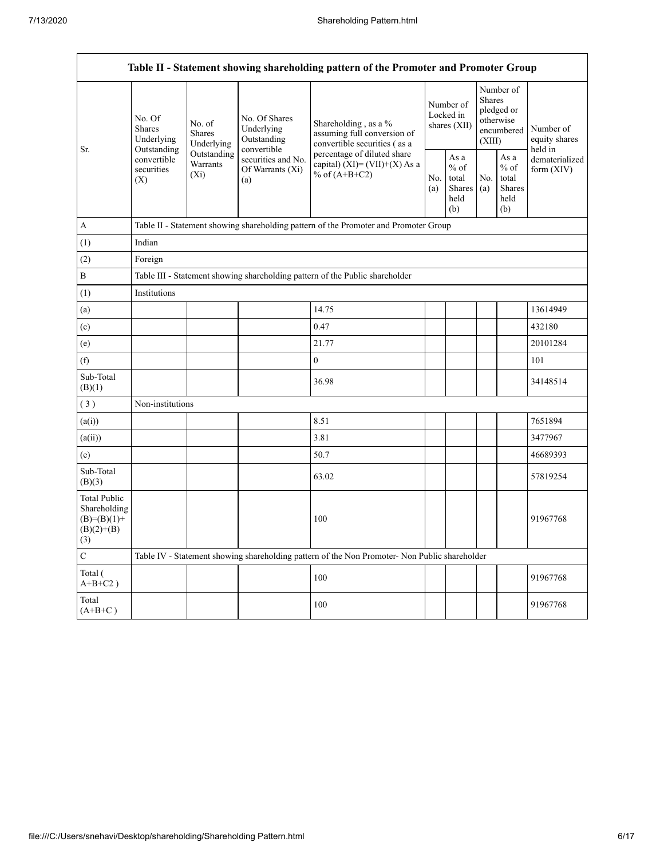Г

| Table II - Statement showing shareholding pattern of the Promoter and Promoter Group |                                                                                               |                                                                                      |                                                              |                                                                                     |  |                                                  |            |                                                                        |                                       |  |  |  |
|--------------------------------------------------------------------------------------|-----------------------------------------------------------------------------------------------|--------------------------------------------------------------------------------------|--------------------------------------------------------------|-------------------------------------------------------------------------------------|--|--------------------------------------------------|------------|------------------------------------------------------------------------|---------------------------------------|--|--|--|
| Sr.                                                                                  | No. Of<br><b>Shares</b><br>Underlying                                                         | No. of<br><b>Shares</b><br>Underlying                                                | No. Of Shares<br>Underlying<br>Outstanding                   | Shareholding, as a %<br>assuming full conversion of<br>convertible securities (as a |  | Number of<br>Locked in<br>shares (XII)           |            | Number of<br>Shares<br>pledged or<br>otherwise<br>encumbered<br>(XIII) | Number of<br>equity shares<br>held in |  |  |  |
|                                                                                      | Outstanding<br>Outstanding<br>convertible<br>Warrants<br>securities<br>$(X_i)$<br>(X)         |                                                                                      | convertible<br>securities and No.<br>Of Warrants (Xi)<br>(a) | percentage of diluted share<br>capital) $(XI) = (VII)+(X)$ As a<br>% of $(A+B+C2)$  |  | As a<br>$%$ of<br>total<br>Shares<br>held<br>(b) | No.<br>(a) | As a<br>$%$ of<br>total<br><b>Shares</b><br>held<br>(b)                | dematerialized<br>form $(XIV)$        |  |  |  |
| A                                                                                    |                                                                                               | Table II - Statement showing shareholding pattern of the Promoter and Promoter Group |                                                              |                                                                                     |  |                                                  |            |                                                                        |                                       |  |  |  |
| (1)                                                                                  | Indian                                                                                        |                                                                                      |                                                              |                                                                                     |  |                                                  |            |                                                                        |                                       |  |  |  |
| (2)                                                                                  | Foreign                                                                                       |                                                                                      |                                                              |                                                                                     |  |                                                  |            |                                                                        |                                       |  |  |  |
| $\, {\bf B}$                                                                         |                                                                                               |                                                                                      |                                                              | Table III - Statement showing shareholding pattern of the Public shareholder        |  |                                                  |            |                                                                        |                                       |  |  |  |
| (1)                                                                                  | Institutions                                                                                  |                                                                                      |                                                              |                                                                                     |  |                                                  |            |                                                                        |                                       |  |  |  |
| (a)                                                                                  |                                                                                               |                                                                                      |                                                              | 14.75                                                                               |  |                                                  |            |                                                                        | 13614949                              |  |  |  |
| (c)                                                                                  |                                                                                               |                                                                                      |                                                              | 0.47                                                                                |  |                                                  |            |                                                                        | 432180                                |  |  |  |
| (e)                                                                                  |                                                                                               |                                                                                      |                                                              | 21.77                                                                               |  |                                                  |            |                                                                        | 20101284                              |  |  |  |
| (f)                                                                                  |                                                                                               |                                                                                      |                                                              | $\boldsymbol{0}$                                                                    |  |                                                  |            |                                                                        | 101                                   |  |  |  |
| Sub-Total<br>(B)(1)                                                                  |                                                                                               |                                                                                      |                                                              | 36.98                                                                               |  |                                                  |            |                                                                        | 34148514                              |  |  |  |
| (3)                                                                                  | Non-institutions                                                                              |                                                                                      |                                                              |                                                                                     |  |                                                  |            |                                                                        |                                       |  |  |  |
| (a(i))                                                                               |                                                                                               |                                                                                      |                                                              | 8.51                                                                                |  |                                                  |            |                                                                        | 7651894                               |  |  |  |
| (a(ii))                                                                              |                                                                                               |                                                                                      |                                                              | 3.81                                                                                |  |                                                  |            |                                                                        | 3477967                               |  |  |  |
| (e)                                                                                  |                                                                                               |                                                                                      |                                                              | 50.7                                                                                |  |                                                  |            |                                                                        | 46689393                              |  |  |  |
| Sub-Total<br>(B)(3)                                                                  |                                                                                               |                                                                                      |                                                              | 63.02                                                                               |  |                                                  |            |                                                                        | 57819254                              |  |  |  |
| <b>Total Public</b><br>Shareholding<br>$(B)=(B)(1)+$<br>$(B)(2)+(B)$<br>(3)          |                                                                                               |                                                                                      |                                                              | 100                                                                                 |  |                                                  |            |                                                                        | 91967768                              |  |  |  |
| $\mathbf C$                                                                          | Table IV - Statement showing shareholding pattern of the Non Promoter- Non Public shareholder |                                                                                      |                                                              |                                                                                     |  |                                                  |            |                                                                        |                                       |  |  |  |
| Total (<br>$A+B+C2$ )                                                                |                                                                                               |                                                                                      |                                                              | 100                                                                                 |  |                                                  |            |                                                                        | 91967768                              |  |  |  |
| Total<br>$(A+B+C)$                                                                   |                                                                                               |                                                                                      |                                                              | 100                                                                                 |  |                                                  |            |                                                                        | 91967768                              |  |  |  |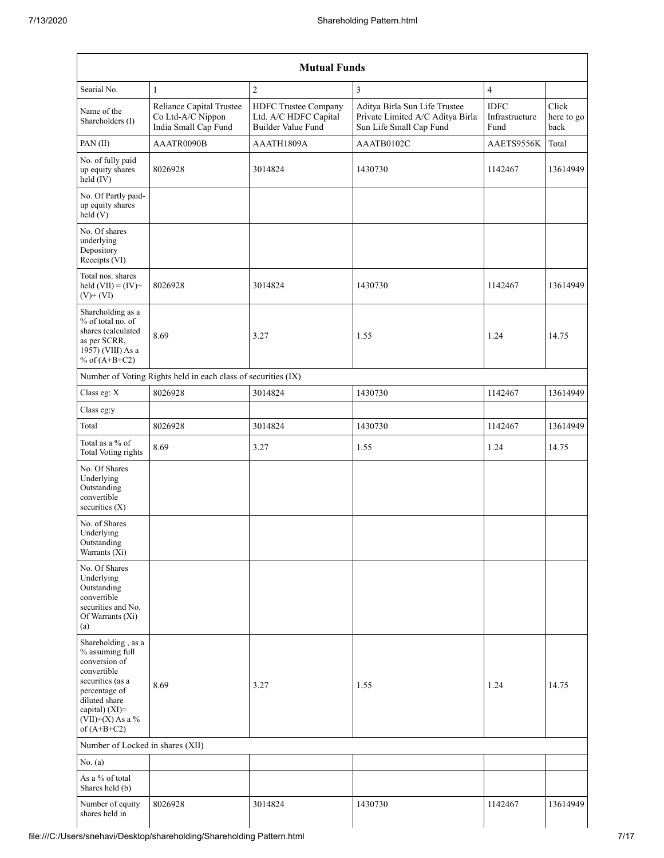|                                                                                                                                                                                      |                                                                       | <b>Mutual Funds</b>                                                 |                                                                                              |                                       |                             |
|--------------------------------------------------------------------------------------------------------------------------------------------------------------------------------------|-----------------------------------------------------------------------|---------------------------------------------------------------------|----------------------------------------------------------------------------------------------|---------------------------------------|-----------------------------|
| Searial No.                                                                                                                                                                          | 1                                                                     | $\overline{c}$                                                      | $\overline{3}$                                                                               | $\overline{4}$                        |                             |
| Name of the<br>Shareholders (I)                                                                                                                                                      | Reliance Capital Trustee<br>Co Ltd-A/C Nippon<br>India Small Cap Fund | HDFC Trustee Company<br>Ltd. A/C HDFC Capital<br>Builder Value Fund | Aditya Birla Sun Life Trustee<br>Private Limited A/C Aditya Birla<br>Sun Life Small Cap Fund | <b>IDFC</b><br>Infrastructure<br>Fund | Click<br>here to go<br>back |
| PAN (II)                                                                                                                                                                             | AAATR0090B                                                            | AAATH1809A                                                          | AAATB0102C                                                                                   | AAETS9556K                            | Total                       |
| No. of fully paid<br>up equity shares<br>held (IV)                                                                                                                                   | 8026928                                                               | 3014824                                                             | 1430730                                                                                      | 1142467                               | 13614949                    |
| No. Of Partly paid-<br>up equity shares<br>held(V)                                                                                                                                   |                                                                       |                                                                     |                                                                                              |                                       |                             |
| No. Of shares<br>underlying<br>Depository<br>Receipts (VI)                                                                                                                           |                                                                       |                                                                     |                                                                                              |                                       |                             |
| Total nos. shares<br>held $(VII) = (IV) +$<br>$(V)$ + $(VI)$                                                                                                                         | 8026928                                                               | 3014824                                                             | 1430730                                                                                      | 1142467                               | 13614949                    |
| Shareholding as a<br>% of total no. of<br>shares (calculated<br>as per SCRR,<br>1957) (VIII) As a<br>% of $(A+B+C2)$                                                                 | 8.69                                                                  | 3.27                                                                | 1.55                                                                                         | 1.24                                  | 14.75                       |
|                                                                                                                                                                                      | Number of Voting Rights held in each class of securities (IX)         |                                                                     |                                                                                              |                                       |                             |
| Class eg: X                                                                                                                                                                          | 8026928                                                               | 3014824                                                             | 1430730                                                                                      | 1142467                               | 13614949                    |
| Class eg:y                                                                                                                                                                           |                                                                       |                                                                     |                                                                                              |                                       |                             |
| Total                                                                                                                                                                                | 8026928                                                               | 3014824                                                             | 1430730                                                                                      | 1142467                               | 13614949                    |
| Total as a % of<br>Total Voting rights                                                                                                                                               | 8.69                                                                  | 3.27                                                                | 1.55                                                                                         | 1.24                                  | 14.75                       |
| No. Of Shares<br>Underlying<br>Outstanding<br>convertible<br>securities (X)                                                                                                          |                                                                       |                                                                     |                                                                                              |                                       |                             |
| No. of Shares<br>Underlying<br>Outstanding<br>Warrants (Xi)                                                                                                                          |                                                                       |                                                                     |                                                                                              |                                       |                             |
| No. Of Shares<br>Underlying<br>Outstanding<br>convertible<br>securities and No.<br>Of Warrants (Xi)<br>(a)                                                                           |                                                                       |                                                                     |                                                                                              |                                       |                             |
| Shareholding, as a<br>% assuming full<br>conversion of<br>convertible<br>securities (as a<br>percentage of<br>diluted share<br>capital) (XI)=<br>$(VII)+(X)$ As a %<br>of $(A+B+C2)$ | 8.69                                                                  | 3.27                                                                | 1.55                                                                                         | 1.24                                  | 14.75                       |
| Number of Locked in shares (XII)                                                                                                                                                     |                                                                       |                                                                     |                                                                                              |                                       |                             |
| No. (a)                                                                                                                                                                              |                                                                       |                                                                     |                                                                                              |                                       |                             |
| As a % of total<br>Shares held (b)                                                                                                                                                   |                                                                       |                                                                     |                                                                                              |                                       |                             |
| Number of equity<br>shares held in                                                                                                                                                   | 8026928                                                               | 3014824                                                             | 1430730                                                                                      | 1142467                               | 13614949                    |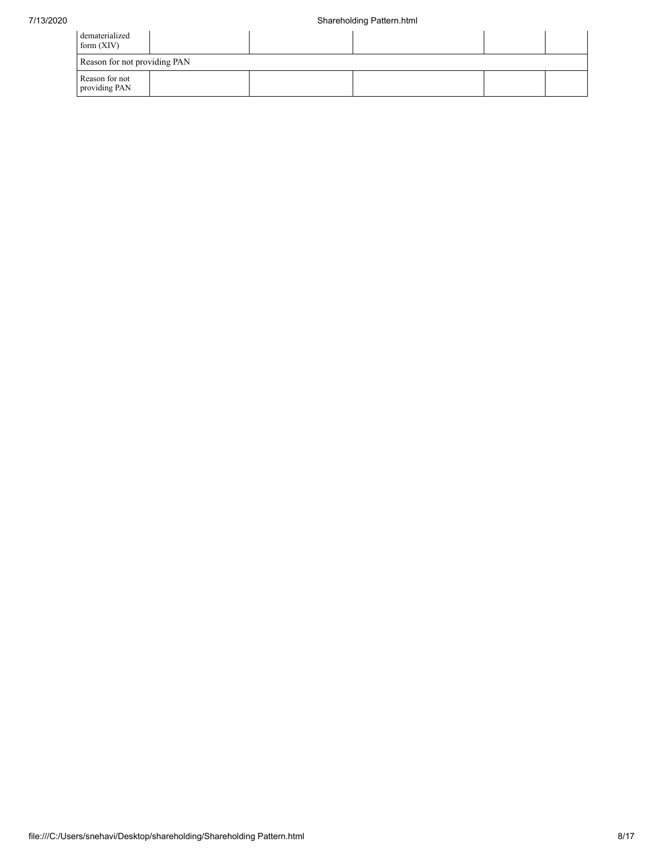| dematerialized<br>form $(XIV)$  |  |  |  |  |  |  |  |  |  |
|---------------------------------|--|--|--|--|--|--|--|--|--|
| Reason for not providing PAN    |  |  |  |  |  |  |  |  |  |
| Reason for not<br>providing PAN |  |  |  |  |  |  |  |  |  |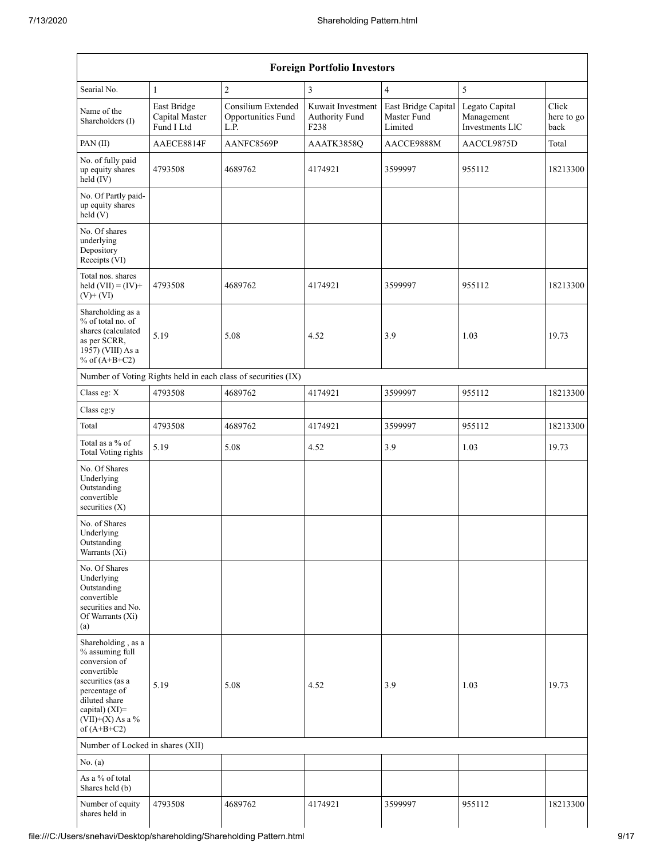| <b>Foreign Portfolio Investors</b>                                                                                                                                                   |                                             |                                                               |                                             |                                               |                                                 |                             |  |  |  |  |  |  |
|--------------------------------------------------------------------------------------------------------------------------------------------------------------------------------------|---------------------------------------------|---------------------------------------------------------------|---------------------------------------------|-----------------------------------------------|-------------------------------------------------|-----------------------------|--|--|--|--|--|--|
| Searial No.                                                                                                                                                                          | $\mathbf{1}$                                | $\overline{c}$                                                | 3                                           | $\overline{4}$                                | 5                                               |                             |  |  |  |  |  |  |
| Name of the<br>Shareholders (I)                                                                                                                                                      | East Bridge<br>Capital Master<br>Fund I Ltd | Consilium Extended<br>Opportunities Fund<br>L.P.              | Kuwait Investment<br>Authority Fund<br>F238 | East Bridge Capital<br>Master Fund<br>Limited | Legato Capital<br>Management<br>Investments LIC | Click<br>here to go<br>back |  |  |  |  |  |  |
| PAN (II)                                                                                                                                                                             | AAECE8814F                                  | AANFC8569P                                                    | AAATK3858Q                                  | AACCE9888M                                    | AACCL9875D                                      | Total                       |  |  |  |  |  |  |
| No. of fully paid<br>up equity shares<br>held (IV)                                                                                                                                   | 4793508                                     | 4689762                                                       | 4174921                                     | 3599997                                       | 955112                                          | 18213300                    |  |  |  |  |  |  |
| No. Of Partly paid-<br>up equity shares<br>held(V)                                                                                                                                   |                                             |                                                               |                                             |                                               |                                                 |                             |  |  |  |  |  |  |
| No. Of shares<br>underlying<br>Depository<br>Receipts (VI)                                                                                                                           |                                             |                                                               |                                             |                                               |                                                 |                             |  |  |  |  |  |  |
| Total nos. shares<br>held $(VII) = (IV) +$<br>$(V)$ + $(VI)$                                                                                                                         | 4793508                                     | 4689762                                                       | 4174921                                     | 3599997                                       | 955112                                          | 18213300                    |  |  |  |  |  |  |
| Shareholding as a<br>% of total no. of<br>shares (calculated<br>as per SCRR,<br>1957) (VIII) As a<br>% of $(A+B+C2)$                                                                 | 5.19                                        | 5.08                                                          | 4.52                                        | 3.9                                           | 1.03                                            | 19.73                       |  |  |  |  |  |  |
|                                                                                                                                                                                      |                                             | Number of Voting Rights held in each class of securities (IX) |                                             |                                               |                                                 |                             |  |  |  |  |  |  |
| Class eg: X                                                                                                                                                                          | 4793508                                     | 4689762                                                       | 4174921                                     | 3599997                                       | 955112                                          | 18213300                    |  |  |  |  |  |  |
| Class eg:y                                                                                                                                                                           |                                             |                                                               |                                             |                                               |                                                 |                             |  |  |  |  |  |  |
| Total                                                                                                                                                                                | 4793508                                     | 4689762                                                       | 4174921                                     | 3599997                                       | 955112                                          | 18213300                    |  |  |  |  |  |  |
| Total as a % of<br><b>Total Voting rights</b>                                                                                                                                        | 5.19                                        | 5.08                                                          | 4.52                                        | 3.9                                           | 1.03                                            | 19.73                       |  |  |  |  |  |  |
| No. Of Shares<br>Underlying<br>Outstanding<br>convertible<br>securities (X)                                                                                                          |                                             |                                                               |                                             |                                               |                                                 |                             |  |  |  |  |  |  |
| No. of Shares<br>Underlying<br>Outstanding<br>Warrants (Xi)                                                                                                                          |                                             |                                                               |                                             |                                               |                                                 |                             |  |  |  |  |  |  |
| No. Of Shares<br>Underlying<br>Outstanding<br>convertible<br>securities and No.<br>Of Warrants (Xi)<br>(a)                                                                           |                                             |                                                               |                                             |                                               |                                                 |                             |  |  |  |  |  |  |
| Shareholding, as a<br>% assuming full<br>conversion of<br>convertible<br>securities (as a<br>percentage of<br>diluted share<br>capital) (XI)=<br>$(VII)+(X)$ As a %<br>of $(A+B+C2)$ | 5.19                                        | 5.08                                                          | 4.52                                        | 3.9                                           | 1.03                                            | 19.73                       |  |  |  |  |  |  |
| Number of Locked in shares (XII)                                                                                                                                                     |                                             |                                                               |                                             |                                               |                                                 |                             |  |  |  |  |  |  |
| No. (a)                                                                                                                                                                              |                                             |                                                               |                                             |                                               |                                                 |                             |  |  |  |  |  |  |
| As a % of total<br>Shares held (b)                                                                                                                                                   |                                             |                                                               |                                             |                                               |                                                 |                             |  |  |  |  |  |  |
| Number of equity<br>shares held in                                                                                                                                                   | 4793508                                     | 4689762                                                       | 4174921                                     | 3599997                                       | 955112                                          | 18213300                    |  |  |  |  |  |  |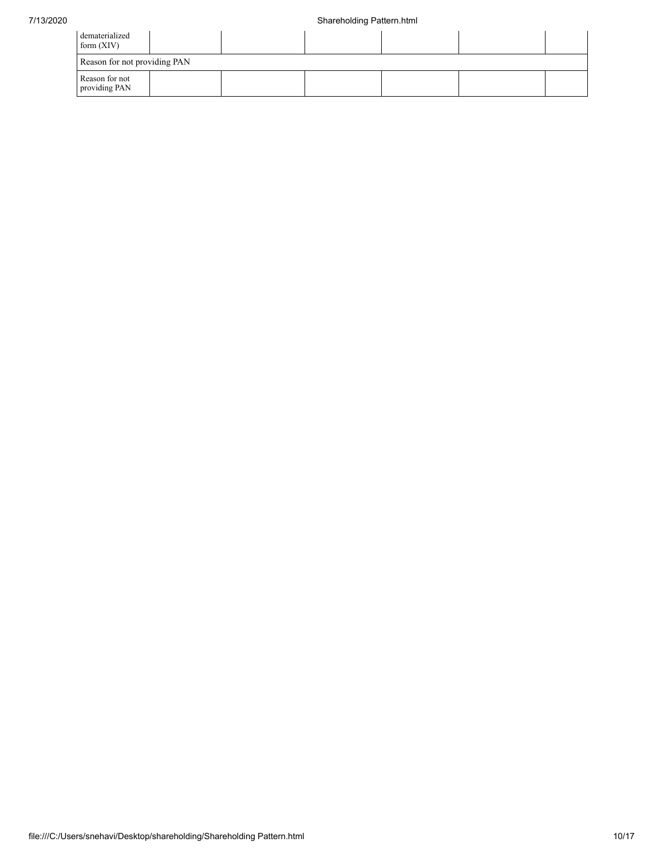| dematerialized<br>form $(XIV)$  |  |  |  |  |  |  |  |  |  |  |
|---------------------------------|--|--|--|--|--|--|--|--|--|--|
| Reason for not providing PAN    |  |  |  |  |  |  |  |  |  |  |
| Reason for not<br>providing PAN |  |  |  |  |  |  |  |  |  |  |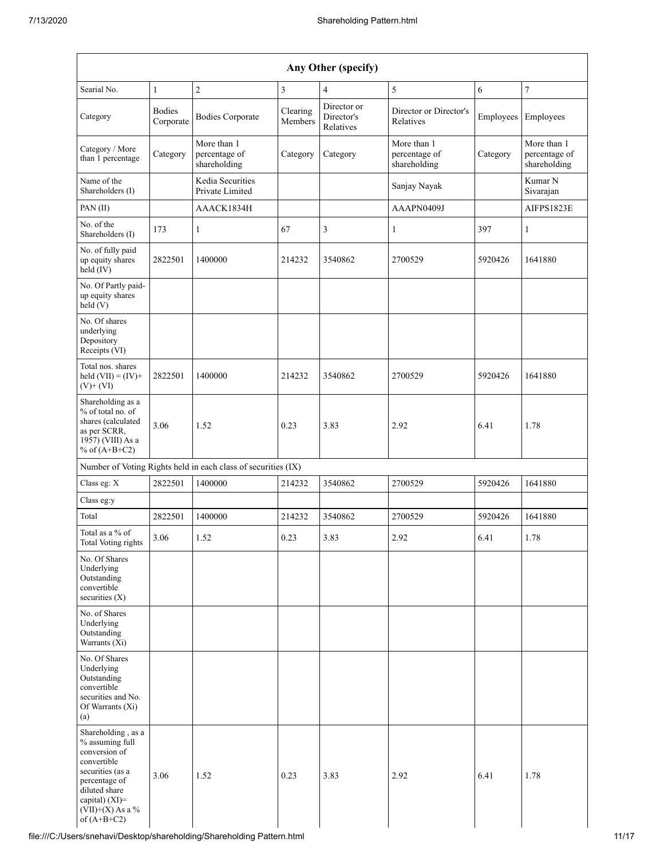| Any Other (specify)                                                                                                                                                                  |                            |                                                               |                     |                                        |                                              |           |                                              |  |  |  |  |  |  |
|--------------------------------------------------------------------------------------------------------------------------------------------------------------------------------------|----------------------------|---------------------------------------------------------------|---------------------|----------------------------------------|----------------------------------------------|-----------|----------------------------------------------|--|--|--|--|--|--|
| Searial No.                                                                                                                                                                          | $\mathbf{1}$               | $\sqrt{2}$                                                    | 3                   | $\overline{4}$                         | 5                                            | 6         | $\boldsymbol{7}$                             |  |  |  |  |  |  |
| Category                                                                                                                                                                             | <b>Bodies</b><br>Corporate | <b>Bodies Corporate</b>                                       | Clearing<br>Members | Director or<br>Director's<br>Relatives | Director or Director's<br>Relatives          | Employees | Employees                                    |  |  |  |  |  |  |
| Category / More<br>than 1 percentage                                                                                                                                                 | Category                   | More than 1<br>percentage of<br>shareholding                  | Category            | Category                               | More than 1<br>percentage of<br>shareholding | Category  | More than 1<br>percentage of<br>shareholding |  |  |  |  |  |  |
| Name of the<br>Shareholders (I)                                                                                                                                                      |                            | Kedia Securities<br>Private Limited                           |                     |                                        | Sanjay Nayak                                 |           | Kumar <sub>N</sub><br>Sivarajan              |  |  |  |  |  |  |
| PAN (II)                                                                                                                                                                             |                            | AAACK1834H                                                    |                     |                                        | AAAPN0409J                                   |           | AIFPS1823E                                   |  |  |  |  |  |  |
| No. of the<br>Shareholders (I)                                                                                                                                                       | 173                        | 1                                                             | 67                  | 3                                      | $\mathbf{1}$                                 | 397       | 1                                            |  |  |  |  |  |  |
| No. of fully paid<br>up equity shares<br>held (IV)                                                                                                                                   | 2822501                    | 1400000                                                       | 214232              | 3540862                                | 2700529                                      | 5920426   | 1641880                                      |  |  |  |  |  |  |
| No. Of Partly paid-<br>up equity shares<br>held(V)                                                                                                                                   |                            |                                                               |                     |                                        |                                              |           |                                              |  |  |  |  |  |  |
| No. Of shares<br>underlying<br>Depository<br>Receipts (VI)                                                                                                                           |                            |                                                               |                     |                                        |                                              |           |                                              |  |  |  |  |  |  |
| Total nos. shares<br>held $(VII) = (IV) +$<br>$(V)$ + $(VI)$                                                                                                                         | 2822501                    | 1400000                                                       | 214232              | 3540862                                | 2700529                                      | 5920426   | 1641880                                      |  |  |  |  |  |  |
| Shareholding as a<br>% of total no. of<br>shares (calculated<br>as per SCRR,<br>1957) (VIII) As a<br>% of $(A+B+C2)$                                                                 | 3.06                       | 1.52                                                          | 0.23                | 3.83                                   | 2.92                                         | 6.41      | 1.78                                         |  |  |  |  |  |  |
|                                                                                                                                                                                      |                            | Number of Voting Rights held in each class of securities (IX) |                     |                                        |                                              |           |                                              |  |  |  |  |  |  |
| Class eg: X                                                                                                                                                                          | 2822501                    | 1400000                                                       | 214232              | 3540862                                | 2700529                                      | 5920426   | 1641880                                      |  |  |  |  |  |  |
| Class eg:y                                                                                                                                                                           |                            |                                                               |                     |                                        |                                              |           |                                              |  |  |  |  |  |  |
| Total                                                                                                                                                                                | 2822501                    | 1400000                                                       | 214232              | 3540862                                | 2700529                                      | 5920426   | 1641880                                      |  |  |  |  |  |  |
| Total as a % of<br>Total Voting rights                                                                                                                                               | 3.06                       | 1.52                                                          | 0.23                | 3.83                                   | 2.92                                         | 6.41      | 1.78                                         |  |  |  |  |  |  |
| No. Of Shares<br>Underlying<br>Outstanding<br>convertible<br>securities $(X)$                                                                                                        |                            |                                                               |                     |                                        |                                              |           |                                              |  |  |  |  |  |  |
| No. of Shares<br>Underlying<br>Outstanding<br>Warrants $(X_i)$                                                                                                                       |                            |                                                               |                     |                                        |                                              |           |                                              |  |  |  |  |  |  |
| No. Of Shares<br>Underlying<br>Outstanding<br>convertible<br>securities and No.<br>Of Warrants (Xi)<br>(a)                                                                           |                            |                                                               |                     |                                        |                                              |           |                                              |  |  |  |  |  |  |
| Shareholding, as a<br>% assuming full<br>conversion of<br>convertible<br>securities (as a<br>percentage of<br>diluted share<br>capital) (XI)=<br>$(VII)+(X)$ As a %<br>of $(A+B+C2)$ | 3.06                       | 1.52                                                          | 0.23                | 3.83                                   | 2.92                                         | 6.41      | 1.78                                         |  |  |  |  |  |  |

file:///C:/Users/snehavi/Desktop/shareholding/Shareholding Pattern.html 11/17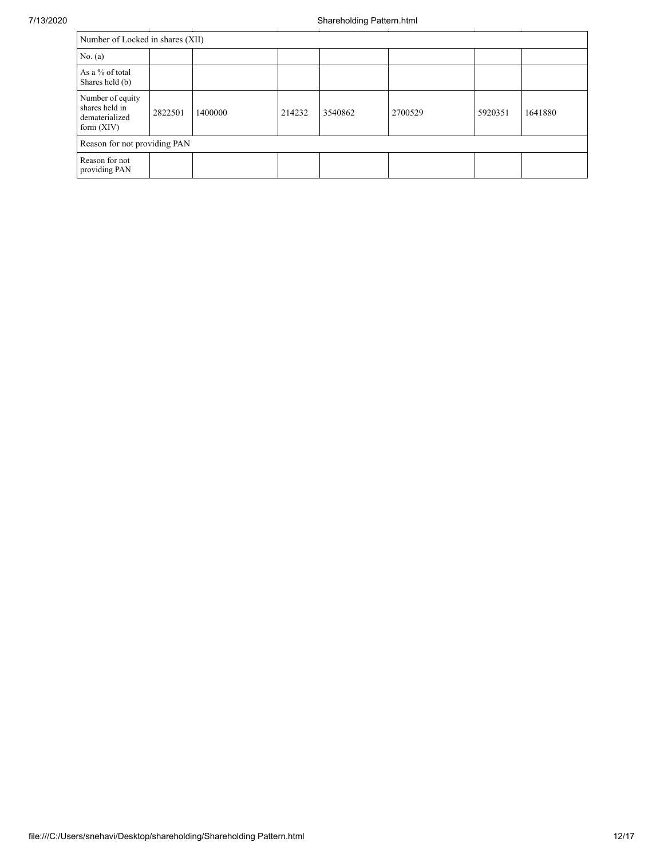|                                                                      | Number of Locked in shares (XII) |         |        |         |         |         |         |  |  |  |  |  |
|----------------------------------------------------------------------|----------------------------------|---------|--------|---------|---------|---------|---------|--|--|--|--|--|
| No. $(a)$                                                            |                                  |         |        |         |         |         |         |  |  |  |  |  |
| As a % of total<br>Shares held (b)                                   |                                  |         |        |         |         |         |         |  |  |  |  |  |
| Number of equity<br>shares held in<br>dematerialized<br>form $(XIV)$ | 2822501                          | 1400000 | 214232 | 3540862 | 2700529 | 5920351 | 1641880 |  |  |  |  |  |
| Reason for not providing PAN                                         |                                  |         |        |         |         |         |         |  |  |  |  |  |
| Reason for not<br>providing PAN                                      |                                  |         |        |         |         |         |         |  |  |  |  |  |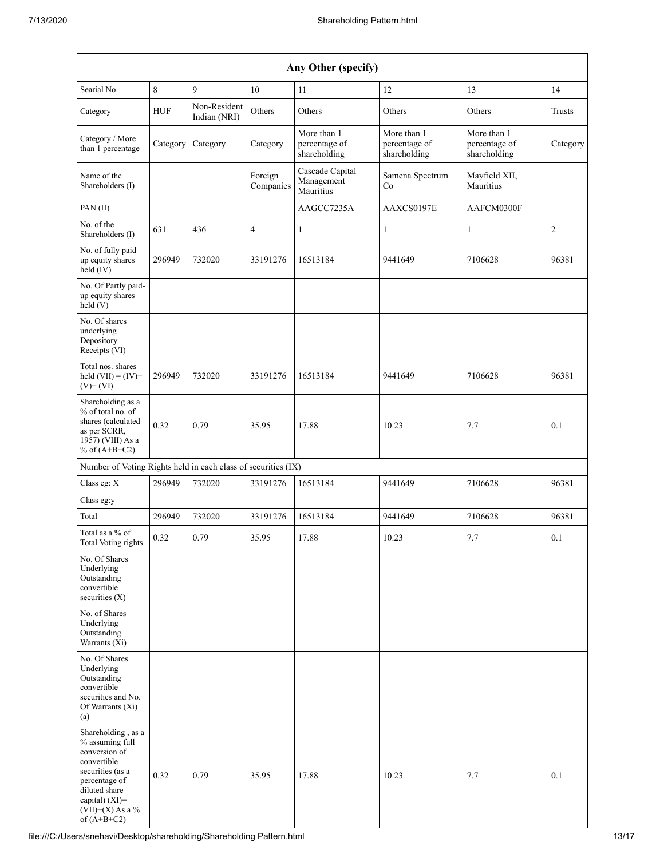| Any Other (specify)                                                                                                                                                                  |             |                              |                      |                                              |                                              |                                              |               |
|--------------------------------------------------------------------------------------------------------------------------------------------------------------------------------------|-------------|------------------------------|----------------------|----------------------------------------------|----------------------------------------------|----------------------------------------------|---------------|
| Searial No.                                                                                                                                                                          | $\,$ 8 $\,$ | 9                            | 10                   | 11                                           | 12                                           | 13                                           | 14            |
| Category                                                                                                                                                                             | <b>HUF</b>  | Non-Resident<br>Indian (NRI) | Others               | Others                                       | Others                                       | Others                                       | <b>Trusts</b> |
| Category / More<br>than 1 percentage                                                                                                                                                 | Category    | Category                     | Category             | More than 1<br>percentage of<br>shareholding | More than 1<br>percentage of<br>shareholding | More than 1<br>percentage of<br>shareholding | Category      |
| Name of the<br>Shareholders (I)                                                                                                                                                      |             |                              | Foreign<br>Companies | Cascade Capital<br>Management<br>Mauritius   | Samena Spectrum<br>Co                        | Mayfield XII,<br>Mauritius                   |               |
| PAN (II)                                                                                                                                                                             |             |                              |                      | AAGCC7235A                                   | AAXCS0197E                                   | AAFCM0300F                                   |               |
| No. of the<br>Shareholders (I)                                                                                                                                                       | 631         | 436                          | 4                    | $\mathbf{1}$                                 | 1                                            | 1                                            | $\sqrt{2}$    |
| No. of fully paid<br>up equity shares<br>held (IV)                                                                                                                                   | 296949      | 732020                       | 33191276             | 16513184                                     | 9441649                                      | 7106628                                      | 96381         |
| No. Of Partly paid-<br>up equity shares<br>held(V)                                                                                                                                   |             |                              |                      |                                              |                                              |                                              |               |
| No. Of shares<br>underlying<br>Depository<br>Receipts (VI)                                                                                                                           |             |                              |                      |                                              |                                              |                                              |               |
| Total nos. shares<br>held $(VII) = (IV) +$<br>$(V)$ + $(VI)$                                                                                                                         | 296949      | 732020                       | 33191276             | 16513184                                     | 9441649                                      | 7106628                                      | 96381         |
| Shareholding as a<br>% of total no. of<br>shares (calculated<br>as per SCRR,<br>1957) (VIII) As a<br>% of $(A+B+C2)$                                                                 | 0.32        | 0.79                         | 35.95                | 17.88                                        | 10.23                                        | 7.7                                          | 0.1           |
| Number of Voting Rights held in each class of securities (IX)                                                                                                                        |             |                              |                      |                                              |                                              |                                              |               |
| Class eg: X                                                                                                                                                                          | 296949      | 732020                       | 33191276             | 16513184                                     | 9441649                                      | 7106628                                      | 96381         |
| Class eg:y                                                                                                                                                                           |             |                              |                      |                                              |                                              |                                              |               |
| Total                                                                                                                                                                                | 296949      | 732020                       | 33191276             | 16513184                                     | 9441649                                      | 7106628                                      | 96381         |
| Total as a % of<br>Total Voting rights                                                                                                                                               | 0.32        | 0.79                         | 35.95                | 17.88                                        | 10.23                                        | 7.7                                          | 0.1           |
| No. Of Shares<br>Underlying<br>Outstanding<br>convertible<br>securities $(X)$                                                                                                        |             |                              |                      |                                              |                                              |                                              |               |
| No. of Shares<br>Underlying<br>Outstanding<br>Warrants (Xi)                                                                                                                          |             |                              |                      |                                              |                                              |                                              |               |
| No. Of Shares<br>Underlying<br>Outstanding<br>convertible<br>securities and No.<br>Of Warrants (Xi)<br>(a)                                                                           |             |                              |                      |                                              |                                              |                                              |               |
| Shareholding, as a<br>% assuming full<br>conversion of<br>convertible<br>securities (as a<br>percentage of<br>diluted share<br>capital) (XI)=<br>$(VII)+(X)$ As a %<br>of $(A+B+C2)$ | 0.32        | 0.79                         | 35.95                | 17.88                                        | 10.23                                        | 7.7                                          | 0.1           |

file:///C:/Users/snehavi/Desktop/shareholding/Shareholding Pattern.html 13/17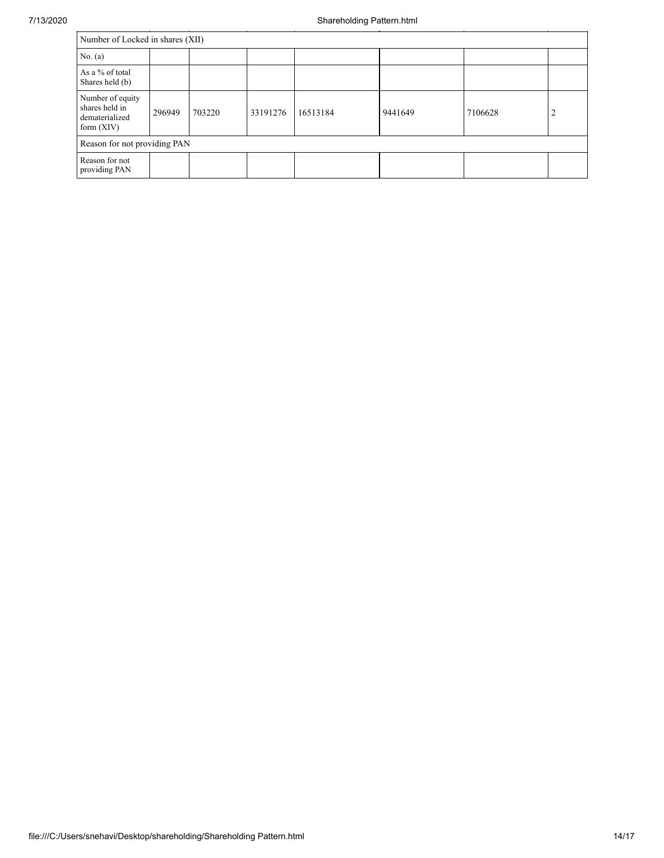| Number of Locked in shares (XII)                                     |        |        |          |          |         |         |   |
|----------------------------------------------------------------------|--------|--------|----------|----------|---------|---------|---|
| No. (a)                                                              |        |        |          |          |         |         |   |
| As a % of total<br>Shares held (b)                                   |        |        |          |          |         |         |   |
| Number of equity<br>shares held in<br>dematerialized<br>form $(XIV)$ | 296949 | 703220 | 33191276 | 16513184 | 9441649 | 7106628 | 2 |
| Reason for not providing PAN                                         |        |        |          |          |         |         |   |
| Reason for not<br>providing PAN                                      |        |        |          |          |         |         |   |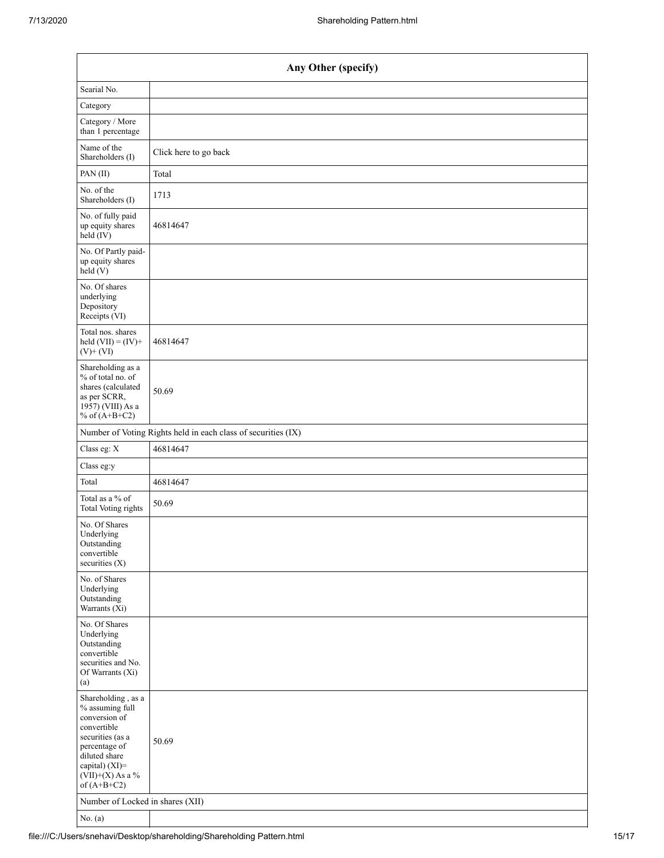| Any Other (specify)                                                                                                                                                                  |                                                               |  |  |  |  |  |
|--------------------------------------------------------------------------------------------------------------------------------------------------------------------------------------|---------------------------------------------------------------|--|--|--|--|--|
| Searial No.                                                                                                                                                                          |                                                               |  |  |  |  |  |
| Category                                                                                                                                                                             |                                                               |  |  |  |  |  |
| Category / More<br>than 1 percentage                                                                                                                                                 |                                                               |  |  |  |  |  |
| Name of the<br>Shareholders (I)                                                                                                                                                      | Click here to go back                                         |  |  |  |  |  |
| PAN(II)                                                                                                                                                                              | Total                                                         |  |  |  |  |  |
| No. of the<br>Shareholders (I)                                                                                                                                                       | 1713                                                          |  |  |  |  |  |
| No. of fully paid<br>up equity shares<br>held (IV)                                                                                                                                   | 46814647                                                      |  |  |  |  |  |
| No. Of Partly paid-<br>up equity shares<br>held(V)                                                                                                                                   |                                                               |  |  |  |  |  |
| No. Of shares<br>underlying<br>Depository<br>Receipts (VI)                                                                                                                           |                                                               |  |  |  |  |  |
| Total nos. shares<br>held $(VII) = (IV) +$<br>$(V)$ + $(VI)$                                                                                                                         | 46814647                                                      |  |  |  |  |  |
| Shareholding as a<br>% of total no. of<br>shares (calculated<br>as per SCRR,<br>1957) (VIII) As a<br>% of $(A+B+C2)$                                                                 | 50.69                                                         |  |  |  |  |  |
|                                                                                                                                                                                      | Number of Voting Rights held in each class of securities (IX) |  |  |  |  |  |
| Class eg: X                                                                                                                                                                          | 46814647                                                      |  |  |  |  |  |
| Class eg:y                                                                                                                                                                           |                                                               |  |  |  |  |  |
| Total                                                                                                                                                                                | 46814647                                                      |  |  |  |  |  |
| Total as a $\%$ of<br>Total Voting rights                                                                                                                                            | 50.69                                                         |  |  |  |  |  |
| No. Of Shares<br>Underlying<br>Outstanding<br>convertible<br>securities $(X)$                                                                                                        |                                                               |  |  |  |  |  |
| No. of Shares<br>Underlying<br>Outstanding<br>Warrants (Xi)                                                                                                                          |                                                               |  |  |  |  |  |
| No. Of Shares<br>Underlying<br>Outstanding<br>convertible<br>securities and No.<br>Of Warrants (Xi)<br>(a)                                                                           |                                                               |  |  |  |  |  |
| Shareholding, as a<br>% assuming full<br>conversion of<br>convertible<br>securities (as a<br>percentage of<br>diluted share<br>capital) (XI)=<br>$(VII)+(X)$ As a %<br>of $(A+B+C2)$ | 50.69                                                         |  |  |  |  |  |
| Number of Locked in shares (XII)                                                                                                                                                     |                                                               |  |  |  |  |  |
| No. $(a)$                                                                                                                                                                            |                                                               |  |  |  |  |  |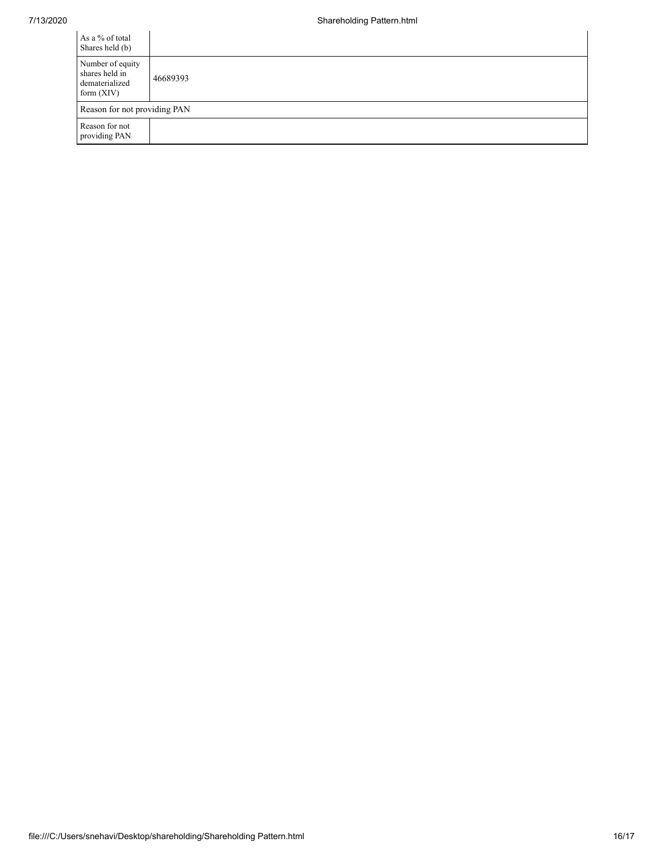| As a % of total<br>Shares held (b)                                   |          |
|----------------------------------------------------------------------|----------|
| Number of equity<br>shares held in<br>dematerialized<br>form $(XIV)$ | 46689393 |
| Reason for not providing PAN                                         |          |
| Reason for not<br>providing PAN                                      |          |